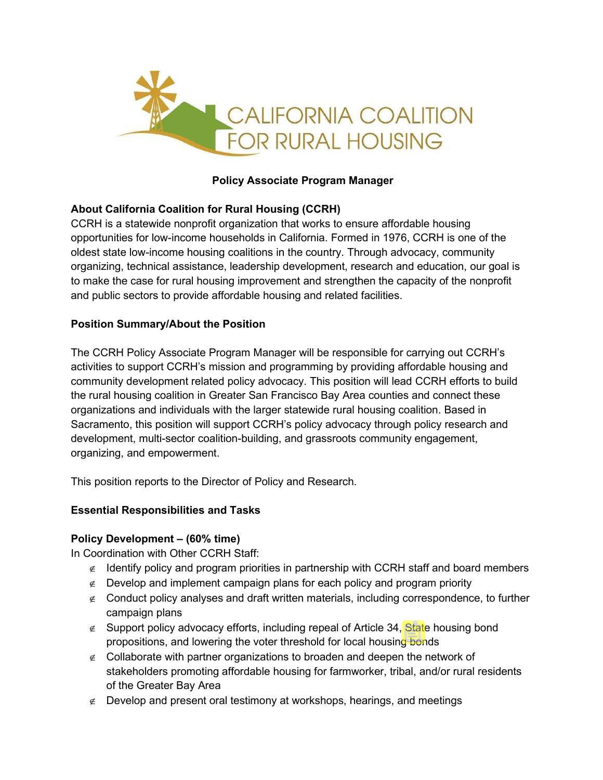

## **Policy Associate Program Manager**

## **About California Coalition for Rural Housing (CCRH)**

CCRH is a statewide nonprofit organization that works to ensure affordable housing opportunities for low-income households in California. Formed in 1976, CCRH is one of the oldest state low-income housing coalitions in the country. Through advocacy, community organizing, technical assistance, leadership development, research and education, our goal is to make the case for rural housing improvement and strengthen the capacity of the nonprofit and public sectors to provide affordable housing and related facilities.

## **Position Summary/About the Position**

The CCRH Policy Associate Program Manager will be responsible for carrying out CCRH's activities to support CCRH's mission and programming by providing affordable housing and community development related policy advocacy. This position will lead CCRH efforts to build the rural housing coalition in Greater San Francisco Bay Area counties and connect these organizations and individuals with the larger statewide rural housing coalition. Based in Sacramento, this position will support CCRH's policy advocacy through policy research and development, multi-sector coalition-building, and grassroots community engagement, organizing, and empowerment.

This position reports to the Director of Policy and Research.

#### **Essential Responsibilities and Tasks**

## **Policy Development – (60% time)**

In Coordination with Other CCRH Staff:

- ∉ Identify policy and program priorities in partnership with CCRH staff and board members
- ∉ Develop and implement campaign plans for each policy and program priority
- ∉ Conduct policy analyses and draft written materials, including correspondence, to further campaign plans
- ∉ Support policy advocacy efforts, including repeal of Article 34, State housing bond propositions, and lowering the voter threshold for local housing bonds
- ∉ Collaborate with partner organizations to broaden and deepen the network of stakeholders promoting affordable housing for farmworker, tribal, and/or rural residents of the Greater Bay Area
- ∉ Develop and present oral testimony at workshops, hearings, and meetings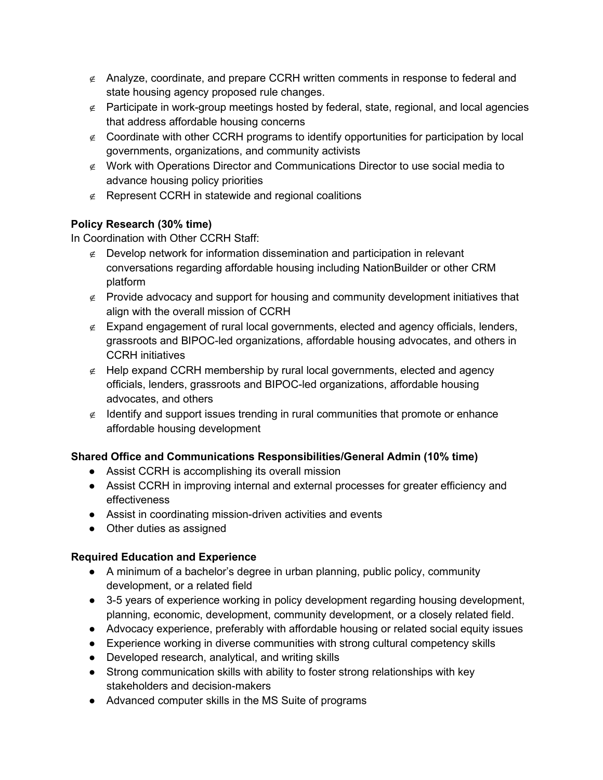- ∉ Analyze, coordinate, and prepare CCRH written comments in response to federal and state housing agency proposed rule changes.
- ∉ Participate in work-group meetings hosted by federal, state, regional, and local agencies that address affordable housing concerns
- ∉ Coordinate with other CCRH programs to identify opportunities for participation by local governments, organizations, and community activists
- ∉ Work with Operations Director and Communications Director to use social media to advance housing policy priorities
- ∉ Represent CCRH in statewide and regional coalitions

# **Policy Research (30% time)**

In Coordination with Other CCRH Staff:

- ∉ Develop network for information dissemination and participation in relevant conversations regarding affordable housing including NationBuilder or other CRM platform
- ∉ Provide advocacy and support for housing and community development initiatives that align with the overall mission of CCRH
- ∉ Expand engagement of rural local governments, elected and agency officials, lenders, grassroots and BIPOC-led organizations, affordable housing advocates, and others in CCRH initiatives
- ∉ Help expand CCRH membership by rural local governments, elected and agency officials, lenders, grassroots and BIPOC-led organizations, affordable housing advocates, and others
- ∉ Identify and support issues trending in rural communities that promote or enhance affordable housing development

## **Shared Office and Communications Responsibilities/General Admin (10% time)**

- Assist CCRH is accomplishing its overall mission
- Assist CCRH in improving internal and external processes for greater efficiency and effectiveness
- Assist in coordinating mission-driven activities and events
- Other duties as assigned

## **Required Education and Experience**

- A minimum of a bachelor's degree in urban planning, public policy, community development, or a related field
- 3-5 years of experience working in policy development regarding housing development, planning, economic, development, community development, or a closely related field.
- Advocacy experience, preferably with affordable housing or related social equity issues
- Experience working in diverse communities with strong cultural competency skills
- Developed research, analytical, and writing skills
- Strong communication skills with ability to foster strong relationships with key stakeholders and decision-makers
- Advanced computer skills in the MS Suite of programs